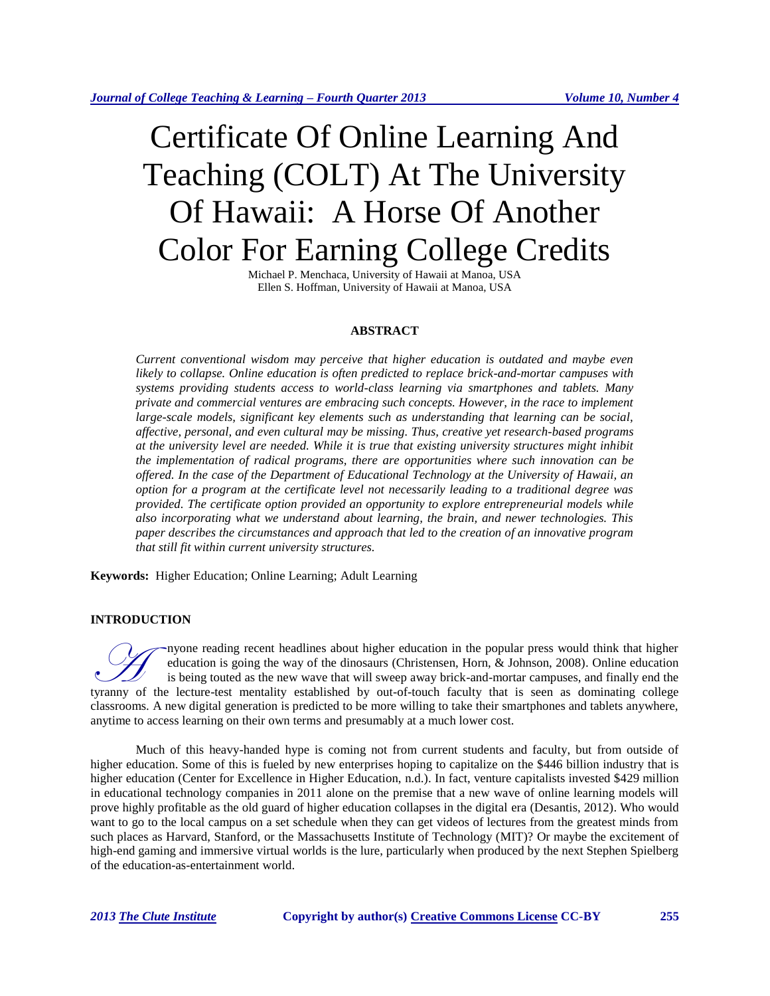# Certificate Of Online Learning And Teaching (COLT) At The University Of Hawaii: A Horse Of Another Color For Earning College Credits

Michael P. Menchaca, University of Hawaii at Manoa, USA Ellen S. Hoffman, University of Hawaii at Manoa, USA

# **ABSTRACT**

*Current conventional wisdom may perceive that higher education is outdated and maybe even likely to collapse. Online education is often predicted to replace brick-and-mortar campuses with systems providing students access to world-class learning via smartphones and tablets. Many private and commercial ventures are embracing such concepts. However, in the race to implement large-scale models, significant key elements such as understanding that learning can be social, affective, personal, and even cultural may be missing. Thus, creative yet research-based programs at the university level are needed. While it is true that existing university structures might inhibit the implementation of radical programs, there are opportunities where such innovation can be offered. In the case of the Department of Educational Technology at the University of Hawaii, an option for a program at the certificate level not necessarily leading to a traditional degree was provided. The certificate option provided an opportunity to explore entrepreneurial models while also incorporating what we understand about learning, the brain, and newer technologies. This paper describes the circumstances and approach that led to the creation of an innovative program that still fit within current university structures.*

**Keywords:** Higher Education; Online Learning; Adult Learning

#### **INTRODUCTION**

nyone reading recent headlines about higher education in the popular press would think that higher education is going the way of the dinosaurs (Christensen, Horn, & Johnson, 2008). Online education is being touted as the new wave that will sweep away brick-and-mortar campuses, and finally end the The education is going the way of the dinosaurs (Christensen, Horn, & Johnson, 2008). Online education is being touted as the new wave that will sweep away brick-and-mortar campuses, and finally end the tyranny of the lect classrooms. A new digital generation is predicted to be more willing to take their smartphones and tablets anywhere, anytime to access learning on their own terms and presumably at a much lower cost.

Much of this heavy-handed hype is coming not from current students and faculty, but from outside of higher education. Some of this is fueled by new enterprises hoping to capitalize on the \$446 billion industry that is higher education (Center for Excellence in Higher Education, n.d.). In fact, venture capitalists invested \$429 million in educational technology companies in 2011 alone on the premise that a new wave of online learning models will prove highly profitable as the old guard of higher education collapses in the digital era (Desantis, 2012). Who would want to go to the local campus on a set schedule when they can get videos of lectures from the greatest minds from such places as Harvard, Stanford, or the Massachusetts Institute of Technology (MIT)? Or maybe the excitement of high-end gaming and immersive virtual worlds is the lure, particularly when produced by the next Stephen Spielberg of the education-as-entertainment world.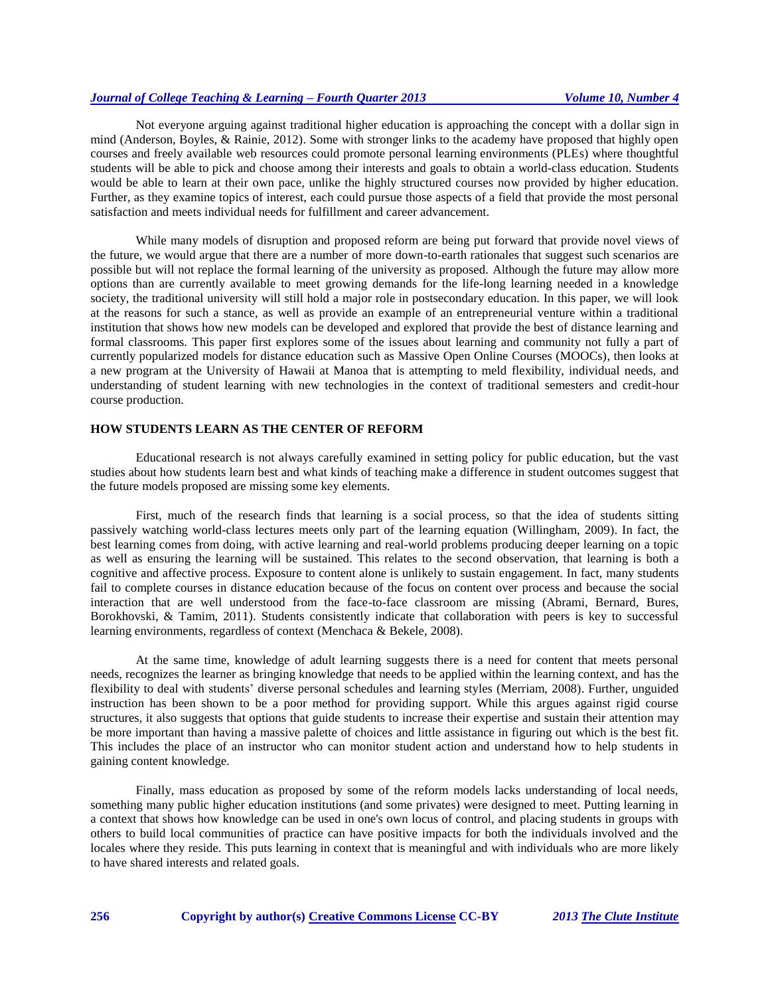# *Journal of College Teaching & Learning – Fourth Quarter 2013 Volume 10, Number 4*

Not everyone arguing against traditional higher education is approaching the concept with a dollar sign in mind (Anderson, Boyles, & Rainie, 2012). Some with stronger links to the academy have proposed that highly open courses and freely available web resources could promote personal learning environments (PLEs) where thoughtful students will be able to pick and choose among their interests and goals to obtain a world-class education. Students would be able to learn at their own pace, unlike the highly structured courses now provided by higher education. Further, as they examine topics of interest, each could pursue those aspects of a field that provide the most personal satisfaction and meets individual needs for fulfillment and career advancement.

While many models of disruption and proposed reform are being put forward that provide novel views of the future, we would argue that there are a number of more down-to-earth rationales that suggest such scenarios are possible but will not replace the formal learning of the university as proposed. Although the future may allow more options than are currently available to meet growing demands for the life-long learning needed in a knowledge society, the traditional university will still hold a major role in postsecondary education. In this paper, we will look at the reasons for such a stance, as well as provide an example of an entrepreneurial venture within a traditional institution that shows how new models can be developed and explored that provide the best of distance learning and formal classrooms. This paper first explores some of the issues about learning and community not fully a part of currently popularized models for distance education such as Massive Open Online Courses (MOOCs), then looks at a new program at the University of Hawaii at Manoa that is attempting to meld flexibility, individual needs, and understanding of student learning with new technologies in the context of traditional semesters and credit-hour course production.

## **HOW STUDENTS LEARN AS THE CENTER OF REFORM**

Educational research is not always carefully examined in setting policy for public education, but the vast studies about how students learn best and what kinds of teaching make a difference in student outcomes suggest that the future models proposed are missing some key elements.

First, much of the research finds that learning is a social process, so that the idea of students sitting passively watching world-class lectures meets only part of the learning equation (Willingham, 2009). In fact, the best learning comes from doing, with active learning and real-world problems producing deeper learning on a topic as well as ensuring the learning will be sustained. This relates to the second observation, that learning is both a cognitive and affective process. Exposure to content alone is unlikely to sustain engagement. In fact, many students fail to complete courses in distance education because of the focus on content over process and because the social interaction that are well understood from the face-to-face classroom are missing (Abrami, Bernard, Bures, Borokhovski, & Tamim, 2011). Students consistently indicate that collaboration with peers is key to successful learning environments, regardless of context (Menchaca & Bekele, 2008).

At the same time, knowledge of adult learning suggests there is a need for content that meets personal needs, recognizes the learner as bringing knowledge that needs to be applied within the learning context, and has the flexibility to deal with students' diverse personal schedules and learning styles (Merriam, 2008). Further, unguided instruction has been shown to be a poor method for providing support. While this argues against rigid course structures, it also suggests that options that guide students to increase their expertise and sustain their attention may be more important than having a massive palette of choices and little assistance in figuring out which is the best fit. This includes the place of an instructor who can monitor student action and understand how to help students in gaining content knowledge.

Finally, mass education as proposed by some of the reform models lacks understanding of local needs, something many public higher education institutions (and some privates) were designed to meet. Putting learning in a context that shows how knowledge can be used in one's own locus of control, and placing students in groups with others to build local communities of practice can have positive impacts for both the individuals involved and the locales where they reside. This puts learning in context that is meaningful and with individuals who are more likely to have shared interests and related goals.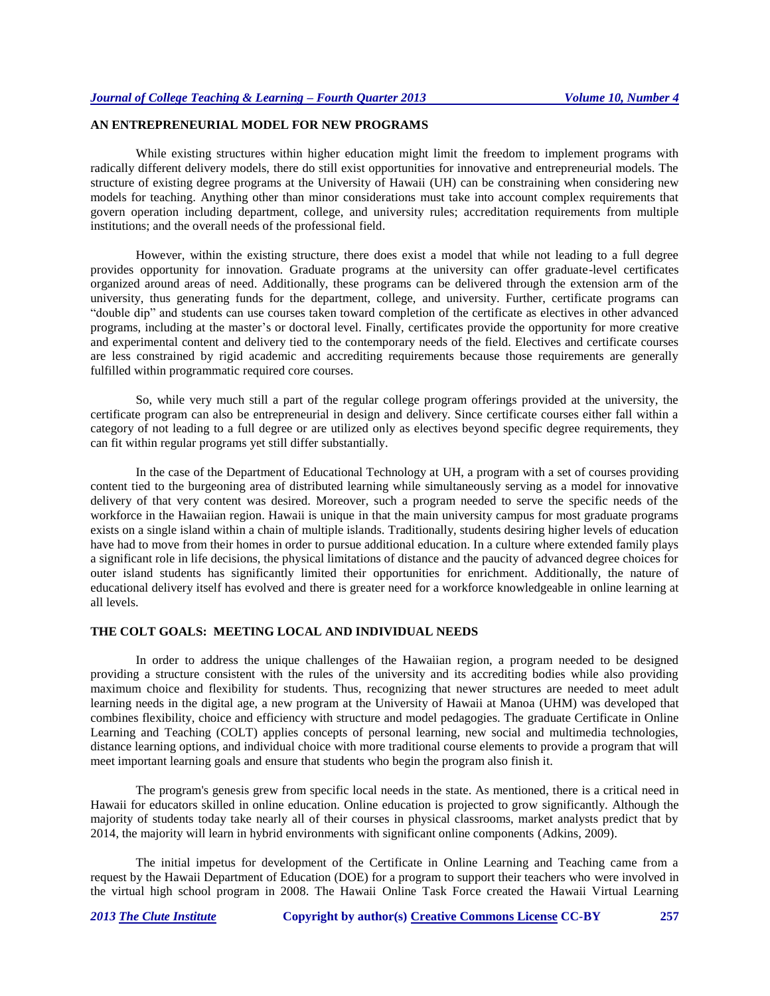# **AN ENTREPRENEURIAL MODEL FOR NEW PROGRAMS**

While existing structures within higher education might limit the freedom to implement programs with radically different delivery models, there do still exist opportunities for innovative and entrepreneurial models. The structure of existing degree programs at the University of Hawaii (UH) can be constraining when considering new models for teaching. Anything other than minor considerations must take into account complex requirements that govern operation including department, college, and university rules; accreditation requirements from multiple institutions; and the overall needs of the professional field.

However, within the existing structure, there does exist a model that while not leading to a full degree provides opportunity for innovation. Graduate programs at the university can offer graduate-level certificates organized around areas of need. Additionally, these programs can be delivered through the extension arm of the university, thus generating funds for the department, college, and university. Further, certificate programs can "double dip" and students can use courses taken toward completion of the certificate as electives in other advanced programs, including at the master's or doctoral level. Finally, certificates provide the opportunity for more creative and experimental content and delivery tied to the contemporary needs of the field. Electives and certificate courses are less constrained by rigid academic and accrediting requirements because those requirements are generally fulfilled within programmatic required core courses.

So, while very much still a part of the regular college program offerings provided at the university, the certificate program can also be entrepreneurial in design and delivery. Since certificate courses either fall within a category of not leading to a full degree or are utilized only as electives beyond specific degree requirements, they can fit within regular programs yet still differ substantially.

In the case of the Department of Educational Technology at UH, a program with a set of courses providing content tied to the burgeoning area of distributed learning while simultaneously serving as a model for innovative delivery of that very content was desired. Moreover, such a program needed to serve the specific needs of the workforce in the Hawaiian region. Hawaii is unique in that the main university campus for most graduate programs exists on a single island within a chain of multiple islands. Traditionally, students desiring higher levels of education have had to move from their homes in order to pursue additional education. In a culture where extended family plays a significant role in life decisions, the physical limitations of distance and the paucity of advanced degree choices for outer island students has significantly limited their opportunities for enrichment. Additionally, the nature of educational delivery itself has evolved and there is greater need for a workforce knowledgeable in online learning at all levels.

#### **THE COLT GOALS: MEETING LOCAL AND INDIVIDUAL NEEDS**

In order to address the unique challenges of the Hawaiian region, a program needed to be designed providing a structure consistent with the rules of the university and its accrediting bodies while also providing maximum choice and flexibility for students. Thus, recognizing that newer structures are needed to meet adult learning needs in the digital age, a new program at the University of Hawaii at Manoa (UHM) was developed that combines flexibility, choice and efficiency with structure and model pedagogies. The graduate Certificate in Online Learning and Teaching (COLT) applies concepts of personal learning, new social and multimedia technologies, distance learning options, and individual choice with more traditional course elements to provide a program that will meet important learning goals and ensure that students who begin the program also finish it.

The program's genesis grew from specific local needs in the state. As mentioned, there is a critical need in Hawaii for educators skilled in online education. Online education is projected to grow significantly. Although the majority of students today take nearly all of their courses in physical classrooms, market analysts predict that by 2014, the majority will learn in hybrid environments with significant online components (Adkins, 2009).

The initial impetus for development of the Certificate in Online Learning and Teaching came from a request by the Hawaii Department of Education (DOE) for a program to support their teachers who were involved in the virtual high school program in 2008. The Hawaii Online Task Force created the Hawaii Virtual Learning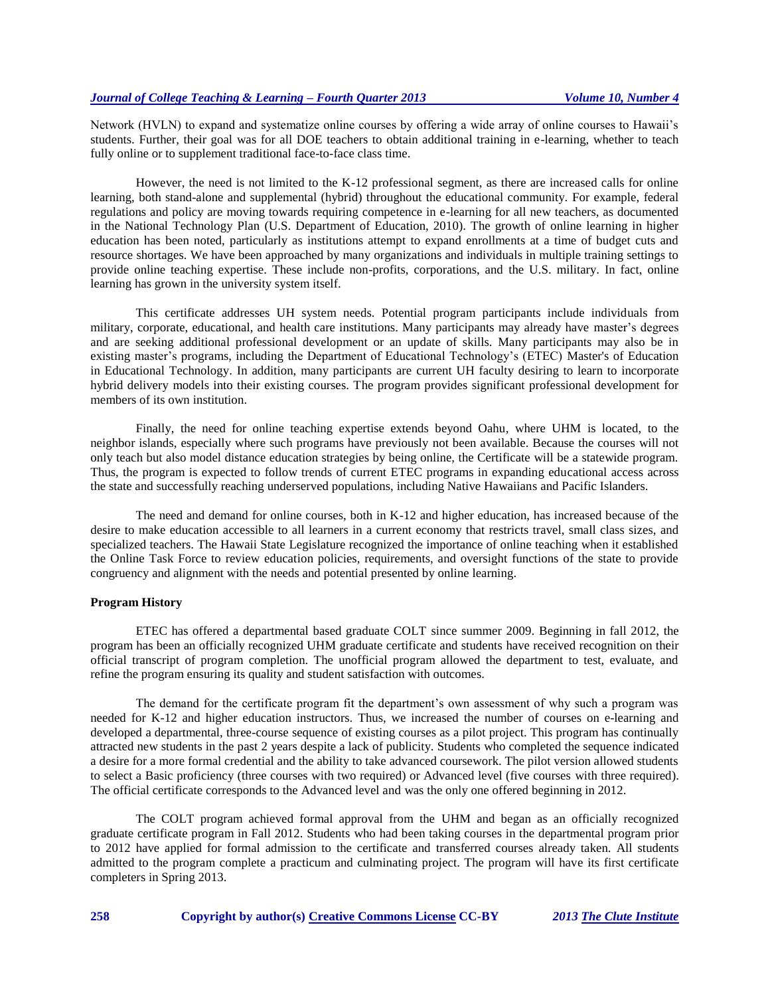Network (HVLN) to expand and systematize online courses by offering a wide array of online courses to Hawaii's students. Further, their goal was for all DOE teachers to obtain additional training in e-learning, whether to teach fully online or to supplement traditional face-to-face class time.

However, the need is not limited to the K-12 professional segment, as there are increased calls for online learning, both stand-alone and supplemental (hybrid) throughout the educational community. For example, federal regulations and policy are moving towards requiring competence in e-learning for all new teachers, as documented in the National Technology Plan (U.S. Department of Education, 2010). The growth of online learning in higher education has been noted, particularly as institutions attempt to expand enrollments at a time of budget cuts and resource shortages. We have been approached by many organizations and individuals in multiple training settings to provide online teaching expertise. These include non-profits, corporations, and the U.S. military. In fact, online learning has grown in the university system itself.

This certificate addresses UH system needs. Potential program participants include individuals from military, corporate, educational, and health care institutions. Many participants may already have master's degrees and are seeking additional professional development or an update of skills. Many participants may also be in existing master's programs, including the Department of Educational Technology's (ETEC) Master's of Education in Educational Technology. In addition, many participants are current UH faculty desiring to learn to incorporate hybrid delivery models into their existing courses. The program provides significant professional development for members of its own institution.

Finally, the need for online teaching expertise extends beyond Oahu, where UHM is located, to the neighbor islands, especially where such programs have previously not been available. Because the courses will not only teach but also model distance education strategies by being online, the Certificate will be a statewide program. Thus, the program is expected to follow trends of current ETEC programs in expanding educational access across the state and successfully reaching underserved populations, including Native Hawaiians and Pacific Islanders.

The need and demand for online courses, both in K-12 and higher education, has increased because of the desire to make education accessible to all learners in a current economy that restricts travel, small class sizes, and specialized teachers. The Hawaii State Legislature recognized the importance of online teaching when it established the Online Task Force to review education policies, requirements, and oversight functions of the state to provide congruency and alignment with the needs and potential presented by online learning.

# **Program History**

ETEC has offered a departmental based graduate COLT since summer 2009. Beginning in fall 2012, the program has been an officially recognized UHM graduate certificate and students have received recognition on their official transcript of program completion. The unofficial program allowed the department to test, evaluate, and refine the program ensuring its quality and student satisfaction with outcomes.

The demand for the certificate program fit the department's own assessment of why such a program was needed for K-12 and higher education instructors. Thus, we increased the number of courses on e-learning and developed a departmental, three-course sequence of existing courses as a pilot project. This program has continually attracted new students in the past 2 years despite a lack of publicity. Students who completed the sequence indicated a desire for a more formal credential and the ability to take advanced coursework. The pilot version allowed students to select a Basic proficiency (three courses with two required) or Advanced level (five courses with three required). The official certificate corresponds to the Advanced level and was the only one offered beginning in 2012.

The COLT program achieved formal approval from the UHM and began as an officially recognized graduate certificate program in Fall 2012. Students who had been taking courses in the departmental program prior to 2012 have applied for formal admission to the certificate and transferred courses already taken. All students admitted to the program complete a practicum and culminating project. The program will have its first certificate completers in Spring 2013.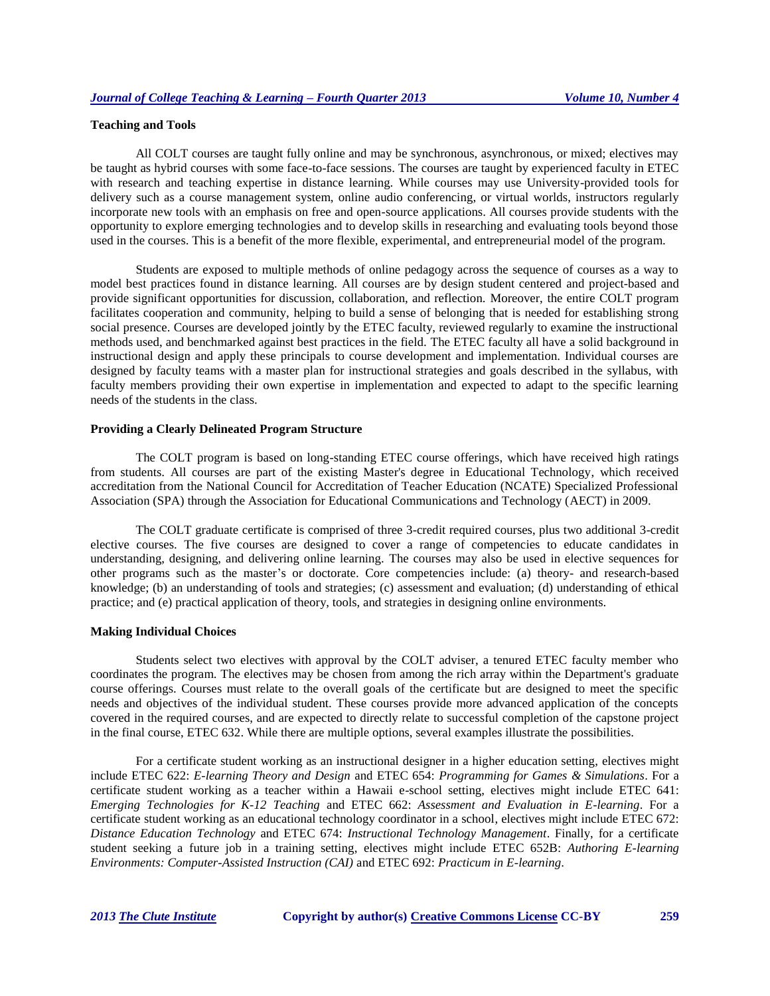# **Teaching and Tools**

All COLT courses are taught fully online and may be synchronous, asynchronous, or mixed; electives may be taught as hybrid courses with some face-to-face sessions. The courses are taught by experienced faculty in ETEC with research and teaching expertise in distance learning. While courses may use University-provided tools for delivery such as a course management system, online audio conferencing, or virtual worlds, instructors regularly incorporate new tools with an emphasis on free and open-source applications. All courses provide students with the opportunity to explore emerging technologies and to develop skills in researching and evaluating tools beyond those used in the courses. This is a benefit of the more flexible, experimental, and entrepreneurial model of the program.

Students are exposed to multiple methods of online pedagogy across the sequence of courses as a way to model best practices found in distance learning. All courses are by design student centered and project-based and provide significant opportunities for discussion, collaboration, and reflection. Moreover, the entire COLT program facilitates cooperation and community, helping to build a sense of belonging that is needed for establishing strong social presence. Courses are developed jointly by the ETEC faculty, reviewed regularly to examine the instructional methods used, and benchmarked against best practices in the field. The ETEC faculty all have a solid background in instructional design and apply these principals to course development and implementation. Individual courses are designed by faculty teams with a master plan for instructional strategies and goals described in the syllabus, with faculty members providing their own expertise in implementation and expected to adapt to the specific learning needs of the students in the class.

## **Providing a Clearly Delineated Program Structure**

The COLT program is based on long-standing ETEC course offerings, which have received high ratings from students. All courses are part of the existing Master's degree in Educational Technology, which received accreditation from the National Council for Accreditation of Teacher Education (NCATE) Specialized Professional Association (SPA) through the Association for Educational Communications and Technology (AECT) in 2009.

The COLT graduate certificate is comprised of three 3-credit required courses, plus two additional 3-credit elective courses. The five courses are designed to cover a range of competencies to educate candidates in understanding, designing, and delivering online learning. The courses may also be used in elective sequences for other programs such as the master's or doctorate. Core competencies include: (a) theory- and research-based knowledge; (b) an understanding of tools and strategies; (c) assessment and evaluation; (d) understanding of ethical practice; and (e) practical application of theory, tools, and strategies in designing online environments.

#### **Making Individual Choices**

Students select two electives with approval by the COLT adviser, a tenured ETEC faculty member who coordinates the program. The electives may be chosen from among the rich array within the Department's graduate course offerings. Courses must relate to the overall goals of the certificate but are designed to meet the specific needs and objectives of the individual student. These courses provide more advanced application of the concepts covered in the required courses, and are expected to directly relate to successful completion of the capstone project in the final course, ETEC 632. While there are multiple options, several examples illustrate the possibilities.

For a certificate student working as an instructional designer in a higher education setting, electives might include ETEC 622: *E-learning Theory and Design* and ETEC 654: *Programming for Games & Simulations*. For a certificate student working as a teacher within a Hawaii e-school setting, electives might include ETEC 641: *Emerging Technologies for K-12 Teaching* and ETEC 662: *Assessment and Evaluation in E-learning*. For a certificate student working as an educational technology coordinator in a school, electives might include ETEC 672: *Distance Education Technology* and ETEC 674: *Instructional Technology Management*. Finally, for a certificate student seeking a future job in a training setting, electives might include ETEC 652B: *Authoring E-learning Environments: Computer-Assisted Instruction (CAI)* and ETEC 692: *Practicum in E-learning*.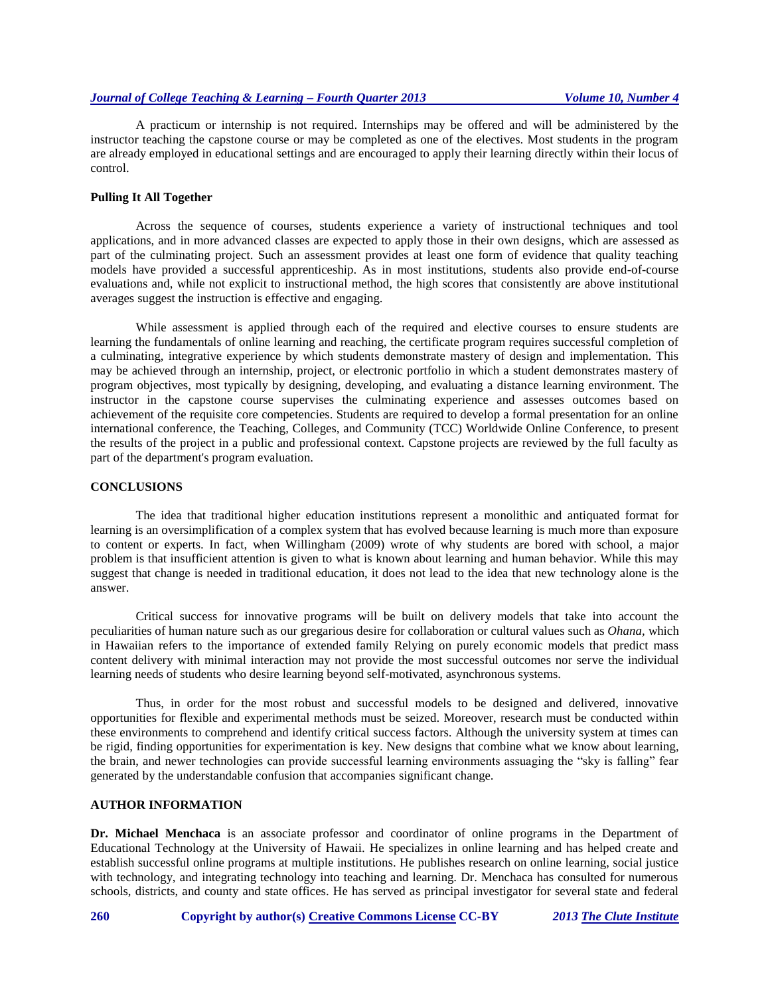A practicum or internship is not required. Internships may be offered and will be administered by the instructor teaching the capstone course or may be completed as one of the electives. Most students in the program are already employed in educational settings and are encouraged to apply their learning directly within their locus of control.

#### **Pulling It All Together**

Across the sequence of courses, students experience a variety of instructional techniques and tool applications, and in more advanced classes are expected to apply those in their own designs, which are assessed as part of the culminating project. Such an assessment provides at least one form of evidence that quality teaching models have provided a successful apprenticeship. As in most institutions, students also provide end-of-course evaluations and, while not explicit to instructional method, the high scores that consistently are above institutional averages suggest the instruction is effective and engaging.

While assessment is applied through each of the required and elective courses to ensure students are learning the fundamentals of online learning and reaching, the certificate program requires successful completion of a culminating, integrative experience by which students demonstrate mastery of design and implementation. This may be achieved through an internship, project, or electronic portfolio in which a student demonstrates mastery of program objectives, most typically by designing, developing, and evaluating a distance learning environment. The instructor in the capstone course supervises the culminating experience and assesses outcomes based on achievement of the requisite core competencies. Students are required to develop a formal presentation for an online international conference, the Teaching, Colleges, and Community (TCC) Worldwide Online Conference, to present the results of the project in a public and professional context. Capstone projects are reviewed by the full faculty as part of the department's program evaluation.

#### **CONCLUSIONS**

The idea that traditional higher education institutions represent a monolithic and antiquated format for learning is an oversimplification of a complex system that has evolved because learning is much more than exposure to content or experts. In fact, when Willingham (2009) wrote of why students are bored with school, a major problem is that insufficient attention is given to what is known about learning and human behavior. While this may suggest that change is needed in traditional education, it does not lead to the idea that new technology alone is the answer.

Critical success for innovative programs will be built on delivery models that take into account the peculiarities of human nature such as our gregarious desire for collaboration or cultural values such as *Ohana,* which in Hawaiian refers to the importance of extended family Relying on purely economic models that predict mass content delivery with minimal interaction may not provide the most successful outcomes nor serve the individual learning needs of students who desire learning beyond self-motivated, asynchronous systems.

Thus, in order for the most robust and successful models to be designed and delivered, innovative opportunities for flexible and experimental methods must be seized. Moreover, research must be conducted within these environments to comprehend and identify critical success factors. Although the university system at times can be rigid, finding opportunities for experimentation is key. New designs that combine what we know about learning, the brain, and newer technologies can provide successful learning environments assuaging the "sky is falling" fear generated by the understandable confusion that accompanies significant change.

#### **AUTHOR INFORMATION**

**Dr. Michael Menchaca** is an associate professor and coordinator of online programs in the Department of Educational Technology at the University of Hawaii. He specializes in online learning and has helped create and establish successful online programs at multiple institutions. He publishes research on online learning, social justice with technology, and integrating technology into teaching and learning. Dr. Menchaca has consulted for numerous schools, districts, and county and state offices. He has served as principal investigator for several state and federal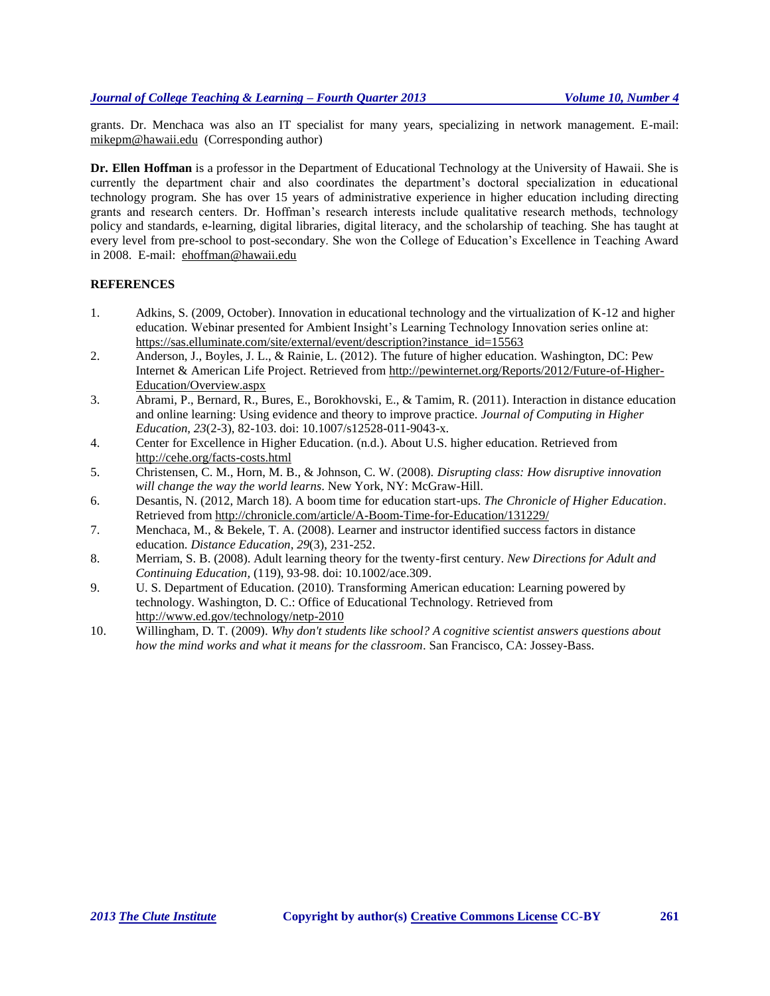grants. Dr. Menchaca was also an IT specialist for many years, specializing in network management. E-mail: [mikepm@hawaii.edu](mailto:mikepm@hawaii.edu) (Corresponding author)

**Dr. Ellen Hoffman** is a professor in the Department of Educational Technology at the University of Hawaii. She is currently the department chair and also coordinates the department's doctoral specialization in educational technology program. She has over 15 years of administrative experience in higher education including directing grants and research centers. Dr. Hoffman's research interests include qualitative research methods, technology policy and standards, e-learning, digital libraries, digital literacy, and the scholarship of teaching. She has taught at every level from pre-school to post-secondary. She won the College of Education's Excellence in Teaching Award in 2008. E-mail: [ehoffman@hawaii.edu](mailto:ehoffman@hawaii.edu)

# **REFERENCES**

- 1. Adkins, S. (2009, October). Innovation in educational technology and the virtualization of K-12 and higher education. Webinar presented for Ambient Insight's Learning Technology Innovation series online at: [https://sas.elluminate.com/site/external/event/description?instance\\_id=15563](https://sas.elluminate.com/site/external/event/description?instance_id=15563)
- 2. Anderson, J., Boyles, J. L., & Rainie, L. (2012). The future of higher education. Washington, DC: Pew Internet & American Life Project. Retrieved from [http://pewinternet.org/Reports/2012/Future-of-Higher-](http://pewinternet.org/Reports/2012/Future-of-Higher-Education/Overview.aspx)[Education/Overview.aspx](http://pewinternet.org/Reports/2012/Future-of-Higher-Education/Overview.aspx)
- 3. Abrami, P., Bernard, R., Bures, E., Borokhovski, E., & Tamim, R. (2011). Interaction in distance education and online learning: Using evidence and theory to improve practice. *Journal of Computing in Higher Education, 23*(2-3), 82-103. doi: 10.1007/s12528-011-9043-x.
- 4. Center for Excellence in Higher Education. (n.d.). About U.S. higher education. Retrieved from <http://cehe.org/facts-costs.html>
- 5. Christensen, C. M., Horn, M. B., & Johnson, C. W. (2008). *Disrupting class: How disruptive innovation will change the way the world learns*. New York, NY: McGraw-Hill.
- 6. Desantis, N. (2012, March 18). A boom time for education start-ups. *The Chronicle of Higher Education*. Retrieved from <http://chronicle.com/article/A-Boom-Time-for-Education/131229/>
- 7. Menchaca, M., & Bekele, T. A. (2008). Learner and instructor identified success factors in distance education. *Distance Education, 29*(3), 231-252.
- 8. Merriam, S. B. (2008). Adult learning theory for the twenty-first century. *New Directions for Adult and Continuing Education,* (119), 93-98. doi: 10.1002/ace.309.
- 9. U. S. Department of Education. (2010). Transforming American education: Learning powered by technology. Washington, D. C.: Office of Educational Technology. Retrieved from <http://www.ed.gov/technology/netp-2010>
- 10. Willingham, D. T. (2009). *Why don't students like school? A cognitive scientist answers questions about how the mind works and what it means for the classroom*. San Francisco, CA: Jossey-Bass.